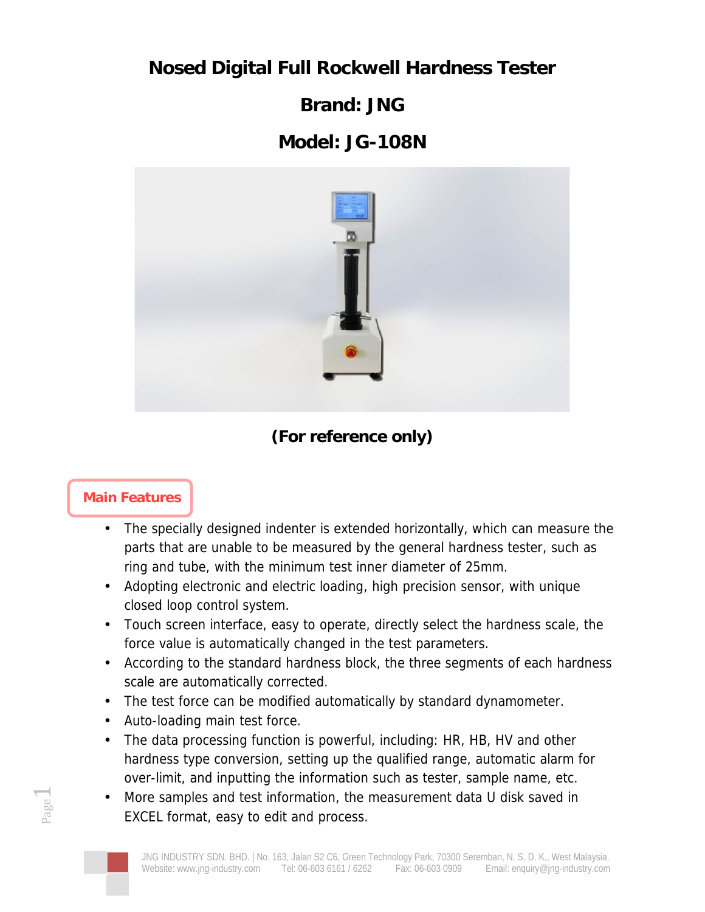**Nosed Digital Full Rockwell Hardness Tester**

**Brand: JNG**

## **Model: JG-108N**



**(For reference only)**

## **Main Features**

Page

 $\overline{\phantom{0}}$ 

- The specially designed indenter is extended horizontally, which can measure the parts that are unable to be measured by the general hardness tester, such as ring and tube, with the minimum test inner diameter of 25mm.
- Adopting electronic and electric loading, high precision sensor, with unique closed loop control system.
- Touch screen interface, easy to operate, directly select the hardness scale, the force value is automatically changed in the test parameters.
- According to the standard hardness block, the three segments of each hardness scale are automatically corrected.
- The test force can be modified automatically by standard dynamometer.
- Auto-loading main test force.
- The data processing function is powerful, including: HR, HB, HV and other hardness type conversion, setting up the qualified range, automatic alarm for over-limit, and inputting the information such as tester, sample name, etc.
- More samples and test information, the measurement data U disk saved in EXCEL format, easy to edit and process.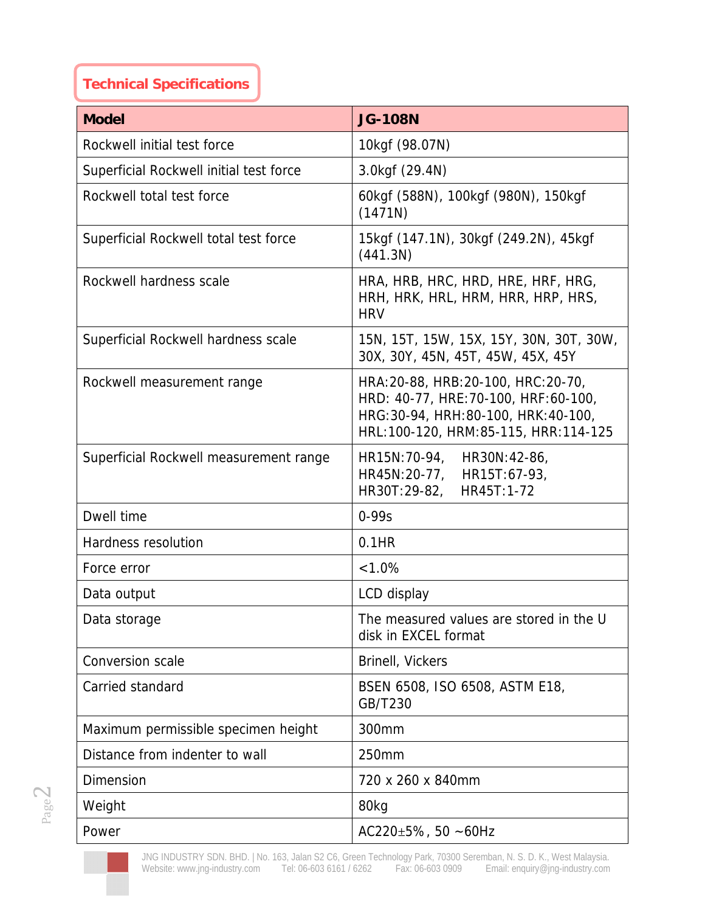## **Technical Specifications**

| Model                                   | <b>JG-108N</b>                                                                                                                                              |
|-----------------------------------------|-------------------------------------------------------------------------------------------------------------------------------------------------------------|
| Rockwell initial test force             | 10kgf (98.07N)                                                                                                                                              |
| Superficial Rockwell initial test force | 3.0kgf (29.4N)                                                                                                                                              |
| Rockwell total test force               | 60kgf (588N), 100kgf (980N), 150kgf<br>(1471N)                                                                                                              |
| Superficial Rockwell total test force   | 15kgf (147.1N), 30kgf (249.2N), 45kgf<br>(441.3N)                                                                                                           |
| Rockwell hardness scale                 | HRA, HRB, HRC, HRD, HRE, HRF, HRG,<br>HRH, HRK, HRL, HRM, HRR, HRP, HRS,<br><b>HRV</b>                                                                      |
| Superficial Rockwell hardness scale     | 15N, 15T, 15W, 15X, 15Y, 30N, 30T, 30W,<br>30X, 30Y, 45N, 45T, 45W, 45X, 45Y                                                                                |
| Rockwell measurement range              | HRA: 20-88, HRB: 20-100, HRC: 20-70,<br>HRD: 40-77, HRE: 70-100, HRF: 60-100,<br>HRG:30-94, HRH:80-100, HRK:40-100,<br>HRL:100-120, HRM:85-115, HRR:114-125 |
| Superficial Rockwell measurement range  | HR15N:70-94,<br>HR30N:42-86,<br>HR45N:20-77,<br>HR15T:67-93,<br>HR30T:29-82,<br>HR45T:1-72                                                                  |
| Dwell time                              | $0 - 99s$                                                                                                                                                   |
| Hardness resolution                     | $0.1$ HR                                                                                                                                                    |
| Force error                             | $< 1.0\%$                                                                                                                                                   |
| Data output                             | LCD display                                                                                                                                                 |
| Data storage                            | The measured values are stored in the U<br>disk in EXCEL format                                                                                             |
| Conversion scale                        | Brinell, Vickers                                                                                                                                            |
| Carried standard                        | BSEN 6508, ISO 6508, ASTM E18,<br>GB/T230                                                                                                                   |
| Maximum permissible specimen height     | 300mm                                                                                                                                                       |
| Distance from indenter to wall          | 250mm                                                                                                                                                       |
| Dimension                               | 720 x 260 x 840mm                                                                                                                                           |
| Weight                                  | 80kg                                                                                                                                                        |
| Power                                   | AC220 $\pm$ 5%, 50 ~60Hz                                                                                                                                    |

JNG INDUSTRY SDN. BHD. | No. 163, Jalan S2 C6, Green Technology Park, 70300 Seremban, N. S. D. K., West Malaysia. Website: <www.jng-industry.com> Tel: 06-603 6161 / 6262 Fax: 06-603 0909 Email: [enquiry@jng-industry.com](mailto:enquiry@jng-industry.com)